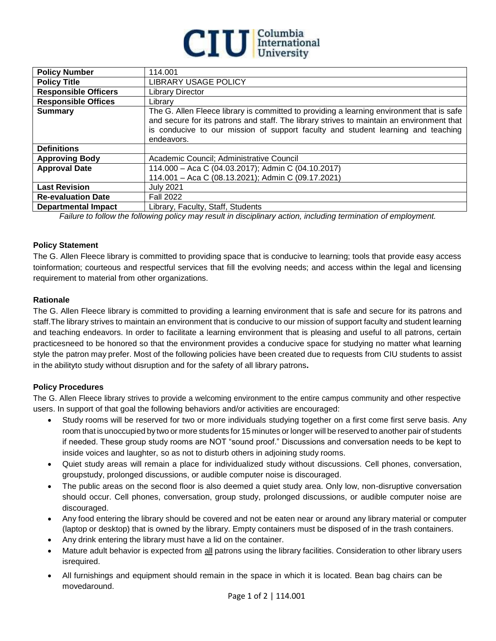

| <b>Policy Number</b>        | 114.001                                                                                                                                                                                                                                                                                  |
|-----------------------------|------------------------------------------------------------------------------------------------------------------------------------------------------------------------------------------------------------------------------------------------------------------------------------------|
| <b>Policy Title</b>         | <b>LIBRARY USAGE POLICY</b>                                                                                                                                                                                                                                                              |
| <b>Responsible Officers</b> | <b>Library Director</b>                                                                                                                                                                                                                                                                  |
| <b>Responsible Offices</b>  | Library                                                                                                                                                                                                                                                                                  |
| <b>Summary</b>              | The G. Allen Fleece library is committed to providing a learning environment that is safe<br>and secure for its patrons and staff. The library strives to maintain an environment that<br>is conducive to our mission of support faculty and student learning and teaching<br>endeavors. |
| <b>Definitions</b>          |                                                                                                                                                                                                                                                                                          |
| <b>Approving Body</b>       | Academic Council; Administrative Council                                                                                                                                                                                                                                                 |
| <b>Approval Date</b>        | 114.000 - Aca C (04.03.2017); Admin C (04.10.2017)                                                                                                                                                                                                                                       |
|                             | 114.001 - Aca C (08.13.2021); Admin C (09.17.2021)                                                                                                                                                                                                                                       |
| <b>Last Revision</b>        | <b>July 2021</b>                                                                                                                                                                                                                                                                         |
| <b>Re-evaluation Date</b>   | <b>Fall 2022</b>                                                                                                                                                                                                                                                                         |
| <b>Departmental Impact</b>  | Library, Faculty, Staff, Students                                                                                                                                                                                                                                                        |

*Failure to follow the following policy may result in disciplinary action, including termination of employment.*

## **Policy Statement**

The G. Allen Fleece library is committed to providing space that is conducive to learning; tools that provide easy access toinformation; courteous and respectful services that fill the evolving needs; and access within the legal and licensing requirement to material from other organizations.

## **Rationale**

The G. Allen Fleece library is committed to providing a learning environment that is safe and secure for its patrons and staff.The library strives to maintain an environment that is conducive to our mission of support faculty and student learning and teaching endeavors. In order to facilitate a learning environment that is pleasing and useful to all patrons, certain practicesneed to be honored so that the environment provides a conducive space for studying no matter what learning style the patron may prefer. Most of the following policies have been created due to requests from CIU students to assist in the abilityto study without disruption and for the safety of all library patrons**.**

## **Policy Procedures**

The G. Allen Fleece library strives to provide a welcoming environment to the entire campus community and other respective users. In support of that goal the following behaviors and/or activities are encouraged:

- Study rooms will be reserved for two or more individuals studying together on a first come first serve basis. Any room that is unoccupied by two or more students for 15 minutes or longer will be reserved to another pair of students if needed. These group study rooms are NOT "sound proof." Discussions and conversation needs to be kept to inside voices and laughter, so as not to disturb others in adjoining study rooms.
- Quiet study areas will remain a place for individualized study without discussions. Cell phones, conversation, groupstudy, prolonged discussions, or audible computer noise is discouraged.
- The public areas on the second floor is also deemed a quiet study area. Only low, non-disruptive conversation should occur. Cell phones, conversation, group study, prolonged discussions, or audible computer noise are discouraged.
- Any food entering the library should be covered and not be eaten near or around any library material or computer (laptop or desktop) that is owned by the library. Empty containers must be disposed of in the trash containers.
- Any drink entering the library must have a lid on the container.
- Mature adult behavior is expected from all patrons using the library facilities. Consideration to other library users isrequired.
- All furnishings and equipment should remain in the space in which it is located. Bean bag chairs can be movedaround.